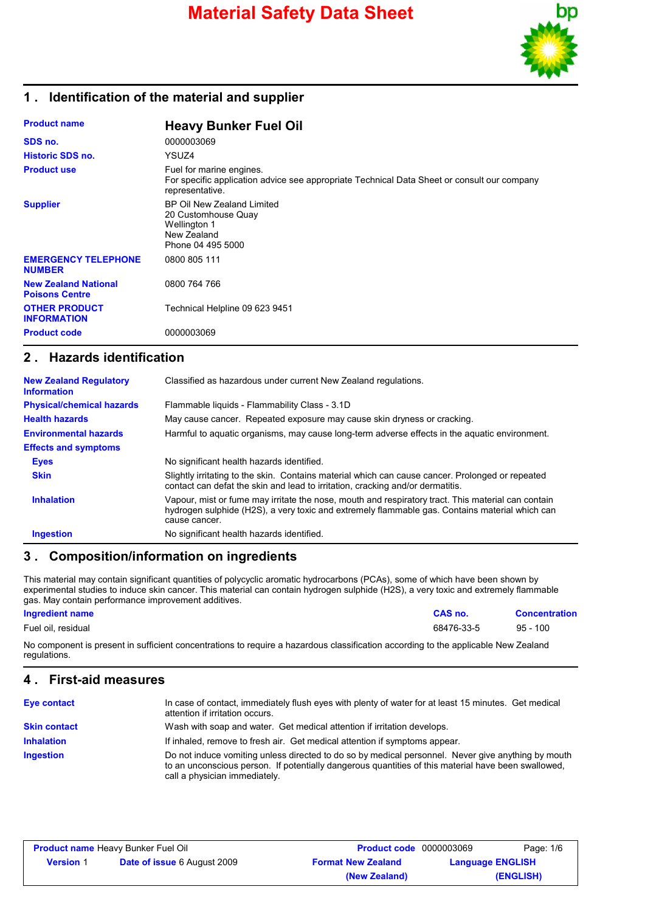

## **1 . Identification of the material and supplier**

| <b>Product name</b>                                  | <b>Heavy Bunker Fuel Oil</b>                                                                                                               |
|------------------------------------------------------|--------------------------------------------------------------------------------------------------------------------------------------------|
| SDS no.                                              | 0000003069                                                                                                                                 |
| <b>Historic SDS no.</b>                              | YSUZ4                                                                                                                                      |
| <b>Product use</b>                                   | Fuel for marine engines.<br>For specific application advice see appropriate Technical Data Sheet or consult our company<br>representative. |
| <b>Supplier</b>                                      | BP Oil New Zealand Limited<br>20 Customhouse Quay<br><b>Wellington 1</b><br>New Zealand<br>Phone 04 495 5000                               |
| <b>EMERGENCY TELEPHONE</b><br><b>NUMBER</b>          | 0800 805 111                                                                                                                               |
| <b>New Zealand National</b><br><b>Poisons Centre</b> | 0800 764 766                                                                                                                               |
| <b>OTHER PRODUCT</b><br><b>INFORMATION</b>           | Technical Helpline 09 623 9451                                                                                                             |
| <b>Product code</b>                                  | 0000003069                                                                                                                                 |

### **2 . Hazards identification**

| <b>New Zealand Regulatory</b><br><b>Information</b> | Classified as hazardous under current New Zealand regulations.                                                                                                                                                        |
|-----------------------------------------------------|-----------------------------------------------------------------------------------------------------------------------------------------------------------------------------------------------------------------------|
| <b>Physical/chemical hazards</b>                    | Flammable liquids - Flammability Class - 3.1D                                                                                                                                                                         |
| <b>Health hazards</b>                               | May cause cancer. Repeated exposure may cause skin dryness or cracking.                                                                                                                                               |
| <b>Environmental hazards</b>                        | Harmful to aquatic organisms, may cause long-term adverse effects in the aquatic environment.                                                                                                                         |
| <b>Effects and symptoms</b>                         |                                                                                                                                                                                                                       |
| <b>Eyes</b>                                         | No significant health hazards identified.                                                                                                                                                                             |
| <b>Skin</b>                                         | Slightly irritating to the skin. Contains material which can cause cancer. Prolonged or repeated<br>contact can defat the skin and lead to irritation, cracking and/or dermatitis.                                    |
| <b>Inhalation</b>                                   | Vapour, mist or fume may irritate the nose, mouth and respiratory tract. This material can contain<br>hydrogen sulphide (H2S), a very toxic and extremely flammable gas. Contains material which can<br>cause cancer. |
| <b>Ingestion</b>                                    | No significant health hazards identified.                                                                                                                                                                             |

## **3 . Composition/information on ingredients**

This material may contain significant quantities of polycyclic aromatic hydrocarbons (PCAs), some of which have been shown by experimental studies to induce skin cancer. This material can contain hydrogen sulphide (H2S), a very toxic and extremely flammable gas. May contain performance improvement additives.

#### **Ingredient name CAS no. Concentration**

Fuel oil, residual 68476-33-5 95 - 100

No component is present in sufficient concentrations to require a hazardous classification according to the applicable New Zealand regulations.

### **4 . First-aid measures**

| <b>Eye contact</b>  | In case of contact, immediately flush eyes with plenty of water for at least 15 minutes. Get medical<br>attention if irritation occurs.                                                                                                    |
|---------------------|--------------------------------------------------------------------------------------------------------------------------------------------------------------------------------------------------------------------------------------------|
| <b>Skin contact</b> | Wash with soap and water. Get medical attention if irritation develops.                                                                                                                                                                    |
| <b>Inhalation</b>   | If inhaled, remove to fresh air. Get medical attention if symptoms appear.                                                                                                                                                                 |
| <b>Ingestion</b>    | Do not induce vomiting unless directed to do so by medical personnel. Never give anything by mouth<br>to an unconscious person. If potentially dangerous quantities of this material have been swallowed,<br>call a physician immediately. |

| <b>Product name Heavy Bunker Fuel Oil</b> |                                    | <b>Product code</b> 0000003069 |                         | Page: 1/6 |
|-------------------------------------------|------------------------------------|--------------------------------|-------------------------|-----------|
| <b>Version</b> 1                          | <b>Date of issue 6 August 2009</b> | <b>Format New Zealand</b>      | <b>Language ENGLISH</b> |           |
|                                           |                                    | (New Zealand)                  |                         | (ENGLISH) |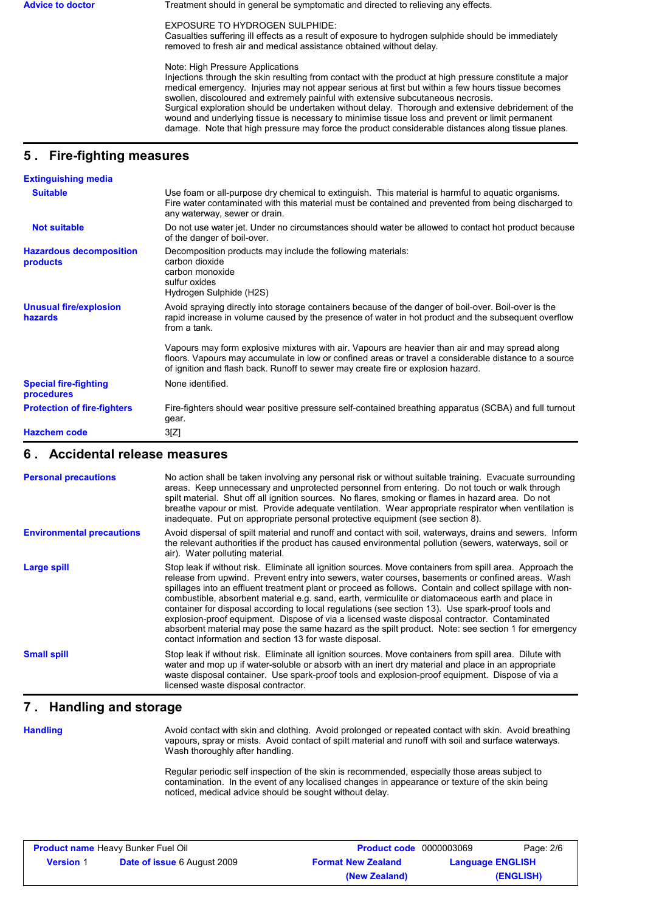Advice to doctor **Treatment should in general be symptomatic and directed to relieving any effects.** 

EXPOSURE TO HYDROGEN SULPHIDE:

Casualties suffering ill effects as a result of exposure to hydrogen sulphide should be immediately removed to fresh air and medical assistance obtained without delay.

Note: High Pressure Applications

Injections through the skin resulting from contact with the product at high pressure constitute a major medical emergency. Injuries may not appear serious at first but within a few hours tissue becomes swollen, discoloured and extremely painful with extensive subcutaneous necrosis. Surgical exploration should be undertaken without delay. Thorough and extensive debridement of the wound and underlying tissue is necessary to minimise tissue loss and prevent or limit permanent damage. Note that high pressure may force the product considerable distances along tissue planes.

# **5 . Fire-fighting measures**

| <b>Extinguishing media</b>                 |                                                                                                                                                                                                                                                                                              |
|--------------------------------------------|----------------------------------------------------------------------------------------------------------------------------------------------------------------------------------------------------------------------------------------------------------------------------------------------|
| <b>Suitable</b>                            | Use foam or all-purpose dry chemical to extinguish. This material is harmful to aquatic organisms.<br>Fire water contaminated with this material must be contained and prevented from being discharged to<br>any waterway, sewer or drain.                                                   |
| <b>Not suitable</b>                        | Do not use water jet. Under no circumstances should water be allowed to contact hot product because<br>of the danger of boil-over.                                                                                                                                                           |
| <b>Hazardous decomposition</b><br>products | Decomposition products may include the following materials:<br>carbon dioxide<br>carbon monoxide<br>sulfur oxides<br>Hydrogen Sulphide (H2S)                                                                                                                                                 |
| <b>Unusual fire/explosion</b><br>hazards   | Avoid spraying directly into storage containers because of the danger of boil-over. Boil-over is the<br>rapid increase in volume caused by the presence of water in hot product and the subsequent overflow<br>from a tank.                                                                  |
|                                            | Vapours may form explosive mixtures with air. Vapours are heavier than air and may spread along<br>floors. Vapours may accumulate in low or confined areas or travel a considerable distance to a source<br>of ignition and flash back. Runoff to sewer may create fire or explosion hazard. |
| <b>Special fire-fighting</b><br>procedures | None identified.                                                                                                                                                                                                                                                                             |
| <b>Protection of fire-fighters</b>         | Fire-fighters should wear positive pressure self-contained breathing apparatus (SCBA) and full turnout<br>gear.                                                                                                                                                                              |
| <b>Hazchem code</b>                        | 3[Z]                                                                                                                                                                                                                                                                                         |

### **6 . Accidental release measures**

| <b>Personal precautions</b>      | No action shall be taken involving any personal risk or without suitable training. Evacuate surrounding<br>areas. Keep unnecessary and unprotected personnel from entering. Do not touch or walk through<br>spilt material. Shut off all ignition sources. No flares, smoking or flames in hazard area. Do not<br>breathe vapour or mist. Provide adequate ventilation. Wear appropriate respirator when ventilation is<br>inadequate. Put on appropriate personal protective equipment (see section 8).                                                                                                                                                                                                                                                                                           |
|----------------------------------|----------------------------------------------------------------------------------------------------------------------------------------------------------------------------------------------------------------------------------------------------------------------------------------------------------------------------------------------------------------------------------------------------------------------------------------------------------------------------------------------------------------------------------------------------------------------------------------------------------------------------------------------------------------------------------------------------------------------------------------------------------------------------------------------------|
| <b>Environmental precautions</b> | Avoid dispersal of spilt material and runoff and contact with soil, waterways, drains and sewers. Inform<br>the relevant authorities if the product has caused environmental pollution (sewers, waterways, soil or<br>air). Water polluting material.                                                                                                                                                                                                                                                                                                                                                                                                                                                                                                                                              |
| <b>Large spill</b>               | Stop leak if without risk. Eliminate all ignition sources. Move containers from spill area. Approach the<br>release from upwind. Prevent entry into sewers, water courses, basements or confined areas. Wash<br>spillages into an effluent treatment plant or proceed as follows. Contain and collect spillage with non-<br>combustible, absorbent material e.g. sand, earth, vermiculite or diatomaceous earth and place in<br>container for disposal according to local regulations (see section 13). Use spark-proof tools and<br>explosion-proof equipment. Dispose of via a licensed waste disposal contractor. Contaminated<br>absorbent material may pose the same hazard as the spilt product. Note: see section 1 for emergency<br>contact information and section 13 for waste disposal. |
| <b>Small spill</b>               | Stop leak if without risk. Eliminate all ignition sources. Move containers from spill area. Dilute with<br>water and mop up if water-soluble or absorb with an inert dry material and place in an appropriate<br>waste disposal container. Use spark-proof tools and explosion-proof equipment. Dispose of via a<br>licensed waste disposal contractor.                                                                                                                                                                                                                                                                                                                                                                                                                                            |

## **7 . Handling and storage**

**Handling**

Avoid contact with skin and clothing. Avoid prolonged or repeated contact with skin. Avoid breathing vapours, spray or mists. Avoid contact of spilt material and runoff with soil and surface waterways. Wash thoroughly after handling.

Regular periodic self inspection of the skin is recommended, especially those areas subject to contamination. In the event of any localised changes in appearance or texture of the skin being noticed, medical advice should be sought without delay.

| <b>Product name Heavy Bunker Fuel Oil</b> |                                    | <b>Product code</b> 0000003069 |                         | Page: 2/6 |
|-------------------------------------------|------------------------------------|--------------------------------|-------------------------|-----------|
| <b>Version 1</b>                          | <b>Date of issue 6 August 2009</b> | <b>Format New Zealand</b>      | <b>Language ENGLISH</b> |           |
|                                           |                                    | (New Zealand)                  |                         | (ENGLISH) |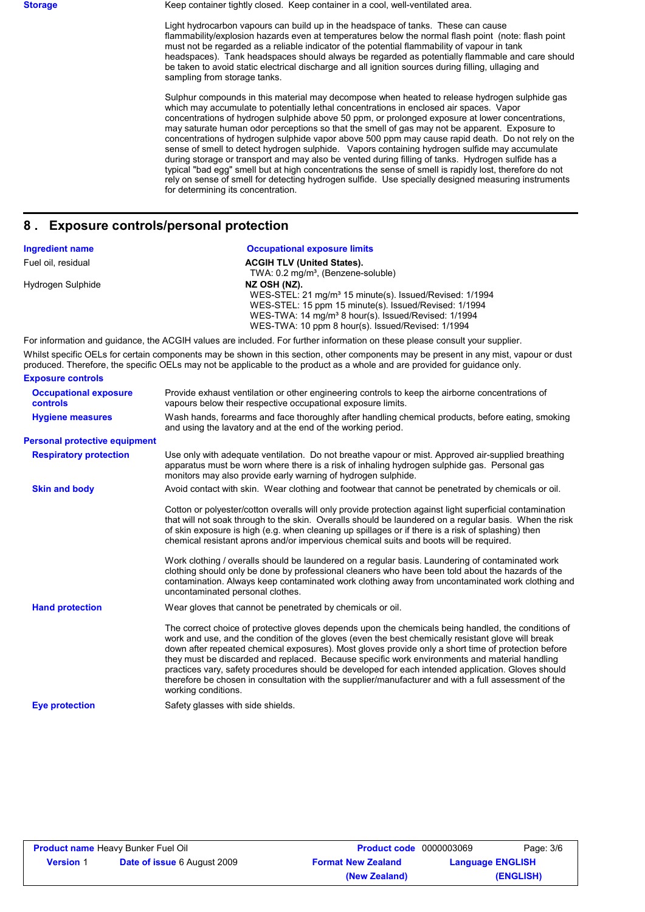**Storage** Keep container tightly closed. Keep container in a cool, well-ventilated area.

Light hydrocarbon vapours can build up in the headspace of tanks. These can cause flammability/explosion hazards even at temperatures below the normal flash point (note: flash point must not be regarded as a reliable indicator of the potential flammability of vapour in tank headspaces). Tank headspaces should always be regarded as potentially flammable and care should be taken to avoid static electrical discharge and all ignition sources during filling, ullaging and sampling from storage tanks.

Sulphur compounds in this material may decompose when heated to release hydrogen sulphide gas which may accumulate to potentially lethal concentrations in enclosed air spaces. Vapor concentrations of hydrogen sulphide above 50 ppm, or prolonged exposure at lower concentrations, may saturate human odor perceptions so that the smell of gas may not be apparent. Exposure to concentrations of hydrogen sulphide vapor above 500 ppm may cause rapid death. Do not rely on the sense of smell to detect hydrogen sulphide. Vapors containing hydrogen sulfide may accumulate during storage or transport and may also be vented during filling of tanks. Hydrogen sulfide has a typical "bad egg" smell but at high concentrations the sense of smell is rapidly lost, therefore do not rely on sense of smell for detecting hydrogen sulfide. Use specially designed measuring instruments for determining its concentration.

### **8 . Exposure controls/personal protection**

| <b>Ingredient name</b> | <b>Occupational exposure limits</b>                                                                                         |
|------------------------|-----------------------------------------------------------------------------------------------------------------------------|
| Fuel oil, residual     | <b>ACGIH TLV (United States).</b>                                                                                           |
|                        | TWA: 0.2 mg/m <sup>3</sup> , (Benzene-soluble)                                                                              |
| Hydrogen Sulphide      | NZ OSH (NZ).                                                                                                                |
|                        | WES-STEL: 21 mg/m <sup>3</sup> 15 minute(s). Issued/Revised: 1/1994                                                         |
|                        | WES-STEL: 15 ppm 15 minute(s). Issued/Revised: 1/1994                                                                       |
|                        | WES-TWA: 14 mg/m <sup>3</sup> 8 hour(s). Issued/Revised: 1/1994                                                             |
|                        | WES-TWA: 10 ppm 8 hour(s). Issued/Revised: 1/1994                                                                           |
|                        | For information and quidance, the ACGIH values are included. For further information on these please consult your supplier. |

Whilst specific OELs for certain components may be shown in this section, other components may be present in any mist, vapour or dust produced. Therefore, the specific OELs may not be applicable to the product as a whole and are provided for guidance only. **Exposure controls**

| <b>Occupational exposure</b><br><b>controls</b> | Provide exhaust ventilation or other engineering controls to keep the airborne concentrations of<br>vapours below their respective occupational exposure limits.                                                                                                                                                                                                                                                                                                                                                                                                                                                                                       |
|-------------------------------------------------|--------------------------------------------------------------------------------------------------------------------------------------------------------------------------------------------------------------------------------------------------------------------------------------------------------------------------------------------------------------------------------------------------------------------------------------------------------------------------------------------------------------------------------------------------------------------------------------------------------------------------------------------------------|
| <b>Hygiene measures</b>                         | Wash hands, forearms and face thoroughly after handling chemical products, before eating, smoking<br>and using the lavatory and at the end of the working period.                                                                                                                                                                                                                                                                                                                                                                                                                                                                                      |
| <b>Personal protective equipment</b>            |                                                                                                                                                                                                                                                                                                                                                                                                                                                                                                                                                                                                                                                        |
| <b>Respiratory protection</b>                   | Use only with adequate ventilation. Do not breathe vapour or mist. Approved air-supplied breathing<br>apparatus must be worn where there is a risk of inhaling hydrogen sulphide gas. Personal gas<br>monitors may also provide early warning of hydrogen sulphide.                                                                                                                                                                                                                                                                                                                                                                                    |
| <b>Skin and body</b>                            | Avoid contact with skin. Wear clothing and footwear that cannot be penetrated by chemicals or oil.                                                                                                                                                                                                                                                                                                                                                                                                                                                                                                                                                     |
|                                                 | Cotton or polyester/cotton overalls will only provide protection against light superficial contamination<br>that will not soak through to the skin. Overalls should be laundered on a regular basis. When the risk<br>of skin exposure is high (e.g. when cleaning up spillages or if there is a risk of splashing) then<br>chemical resistant aprons and/or impervious chemical suits and boots will be required.<br>Work clothing / overalls should be laundered on a regular basis. Laundering of contaminated work                                                                                                                                 |
|                                                 | clothing should only be done by professional cleaners who have been told about the hazards of the<br>contamination. Always keep contaminated work clothing away from uncontaminated work clothing and<br>uncontaminated personal clothes.                                                                                                                                                                                                                                                                                                                                                                                                              |
| <b>Hand protection</b>                          | Wear gloves that cannot be penetrated by chemicals or oil.                                                                                                                                                                                                                                                                                                                                                                                                                                                                                                                                                                                             |
|                                                 | The correct choice of protective gloves depends upon the chemicals being handled, the conditions of<br>work and use, and the condition of the gloves (even the best chemically resistant glove will break<br>down after repeated chemical exposures). Most gloves provide only a short time of protection before<br>they must be discarded and replaced. Because specific work environments and material handling<br>practices vary, safety procedures should be developed for each intended application. Gloves should<br>therefore be chosen in consultation with the supplier/manufacturer and with a full assessment of the<br>working conditions. |
| <b>Eve protection</b>                           | Safety glasses with side shields.                                                                                                                                                                                                                                                                                                                                                                                                                                                                                                                                                                                                                      |

| <b>Product name Heavy Bunker Fuel Oil</b> |                                    | <b>Product code</b> 0000003069 | Page: 3/6               |
|-------------------------------------------|------------------------------------|--------------------------------|-------------------------|
| <b>Version 1</b>                          | <b>Date of issue 6 August 2009</b> | <b>Format New Zealand</b>      | <b>Language ENGLISH</b> |
|                                           |                                    | (New Zealand)                  | (ENGLISH)               |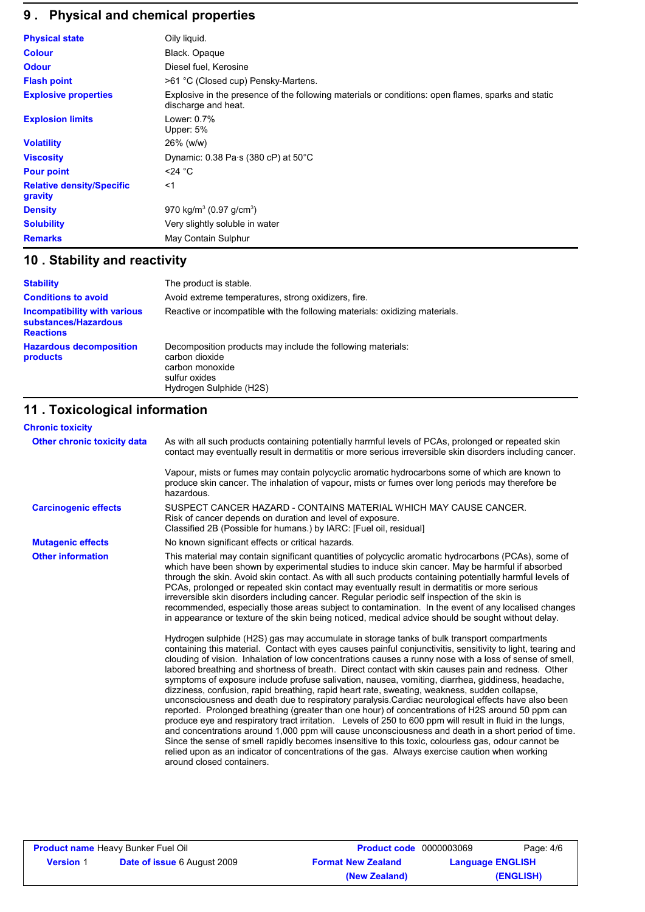# **9 . Physical and chemical properties**

| <b>Physical state</b>                       | Oily liquid.                                                                                                              |
|---------------------------------------------|---------------------------------------------------------------------------------------------------------------------------|
| <b>Colour</b>                               | Black. Opaque                                                                                                             |
| <b>Odour</b>                                | Diesel fuel, Kerosine                                                                                                     |
| <b>Flash point</b>                          | >61 °C (Closed cup) Pensky-Martens.                                                                                       |
| <b>Explosive properties</b>                 | Explosive in the presence of the following materials or conditions: open flames, sparks and static<br>discharge and heat. |
| <b>Explosion limits</b>                     | Lower: 0.7%<br>Upper: 5%                                                                                                  |
| <b>Volatility</b>                           | 26% (w/w)                                                                                                                 |
| <b>Viscosity</b>                            | Dynamic: $0.38$ Pa s (380 cP) at $50^{\circ}$ C                                                                           |
| <b>Pour point</b>                           | $<$ 24 °C                                                                                                                 |
| <b>Relative density/Specific</b><br>gravity | $<$ 1                                                                                                                     |
| <b>Density</b>                              | 970 kg/m <sup>3</sup> (0.97 g/cm <sup>3</sup> )                                                                           |
| <b>Solubility</b>                           | Very slightly soluble in water                                                                                            |
| <b>Remarks</b>                              | May Contain Sulphur                                                                                                       |

# **10 . Stability and reactivity**

| <b>Stability</b>                                                                | The product is stable.                                                                                                                       |
|---------------------------------------------------------------------------------|----------------------------------------------------------------------------------------------------------------------------------------------|
| <b>Conditions to avoid</b>                                                      | Avoid extreme temperatures, strong oxidizers, fire.                                                                                          |
| <b>Incompatibility with various</b><br>substances/Hazardous<br><b>Reactions</b> | Reactive or incompatible with the following materials: oxidizing materials.                                                                  |
| <b>Hazardous decomposition</b><br>products                                      | Decomposition products may include the following materials:<br>carbon dioxide<br>carbon monoxide<br>sulfur oxides<br>Hydrogen Sulphide (H2S) |

# **11 . Toxicological information**

| <b>Chronic toxicity</b>     |                                                                                                                                                                                                                                                                                                                                                                                                                                                                                                                                                                                                                                                                                                                                                                                                                                                                                                                                                                                                                                                                                                                                                                                                                                                                       |
|-----------------------------|-----------------------------------------------------------------------------------------------------------------------------------------------------------------------------------------------------------------------------------------------------------------------------------------------------------------------------------------------------------------------------------------------------------------------------------------------------------------------------------------------------------------------------------------------------------------------------------------------------------------------------------------------------------------------------------------------------------------------------------------------------------------------------------------------------------------------------------------------------------------------------------------------------------------------------------------------------------------------------------------------------------------------------------------------------------------------------------------------------------------------------------------------------------------------------------------------------------------------------------------------------------------------|
| Other chronic toxicity data | As with all such products containing potentially harmful levels of PCAs, prolonged or repeated skin<br>contact may eventually result in dermatitis or more serious irreversible skin disorders including cancer.                                                                                                                                                                                                                                                                                                                                                                                                                                                                                                                                                                                                                                                                                                                                                                                                                                                                                                                                                                                                                                                      |
|                             | Vapour, mists or fumes may contain polycyclic aromatic hydrocarbons some of which are known to<br>produce skin cancer. The inhalation of vapour, mists or fumes over long periods may therefore be<br>hazardous.                                                                                                                                                                                                                                                                                                                                                                                                                                                                                                                                                                                                                                                                                                                                                                                                                                                                                                                                                                                                                                                      |
| <b>Carcinogenic effects</b> | SUSPECT CANCER HAZARD - CONTAINS MATERIAL WHICH MAY CAUSE CANCER.<br>Risk of cancer depends on duration and level of exposure.<br>Classified 2B (Possible for humans.) by IARC: [Fuel oil, residual]                                                                                                                                                                                                                                                                                                                                                                                                                                                                                                                                                                                                                                                                                                                                                                                                                                                                                                                                                                                                                                                                  |
| <b>Mutagenic effects</b>    | No known significant effects or critical hazards.                                                                                                                                                                                                                                                                                                                                                                                                                                                                                                                                                                                                                                                                                                                                                                                                                                                                                                                                                                                                                                                                                                                                                                                                                     |
| <b>Other information</b>    | This material may contain significant quantities of polycyclic aromatic hydrocarbons (PCAs), some of<br>which have been shown by experimental studies to induce skin cancer. May be harmful if absorbed<br>through the skin. Avoid skin contact. As with all such products containing potentially harmful levels of<br>PCAs, prolonged or repeated skin contact may eventually result in dermatitis or more serious<br>irreversible skin disorders including cancer. Regular periodic self inspection of the skin is<br>recommended, especially those areas subject to contamination. In the event of any localised changes<br>in appearance or texture of the skin being noticed, medical advice should be sought without delay.<br>Hydrogen sulphide (H2S) gas may accumulate in storage tanks of bulk transport compartments<br>containing this material. Contact with eyes causes painful conjunctivitis, sensitivity to light, tearing and<br>clouding of vision. Inhalation of low concentrations causes a runny nose with a loss of sense of smell,<br>labored breathing and shortness of breath. Direct contact with skin causes pain and redness. Other<br>symptoms of exposure include profuse salivation, nausea, vomiting, diarrhea, giddiness, headache, |
|                             | dizziness, confusion, rapid breathing, rapid heart rate, sweating, weakness, sudden collapse,<br>unconsciousness and death due to respiratory paralysis. Cardiac neurological effects have also been<br>reported. Prolonged breathing (greater than one hour) of concentrations of H2S around 50 ppm can<br>produce eye and respiratory tract irritation. Levels of 250 to 600 ppm will result in fluid in the lungs,<br>and concentrations around 1,000 ppm will cause unconsciousness and death in a short period of time.<br>Since the sense of smell rapidly becomes insensitive to this toxic, colourless gas, odour cannot be<br>relied upon as an indicator of concentrations of the gas. Always exercise caution when working<br>around closed containers.                                                                                                                                                                                                                                                                                                                                                                                                                                                                                                    |

| <b>Product name Heavy Bunker Fuel Oil</b> |                                    | <b>Product code</b> 0000003069 |                         | Page: 4/6 |
|-------------------------------------------|------------------------------------|--------------------------------|-------------------------|-----------|
| <b>Version 1</b>                          | <b>Date of issue 6 August 2009</b> | <b>Format New Zealand</b>      | <b>Language ENGLISH</b> |           |
|                                           |                                    | (New Zealand)                  |                         | (ENGLISH) |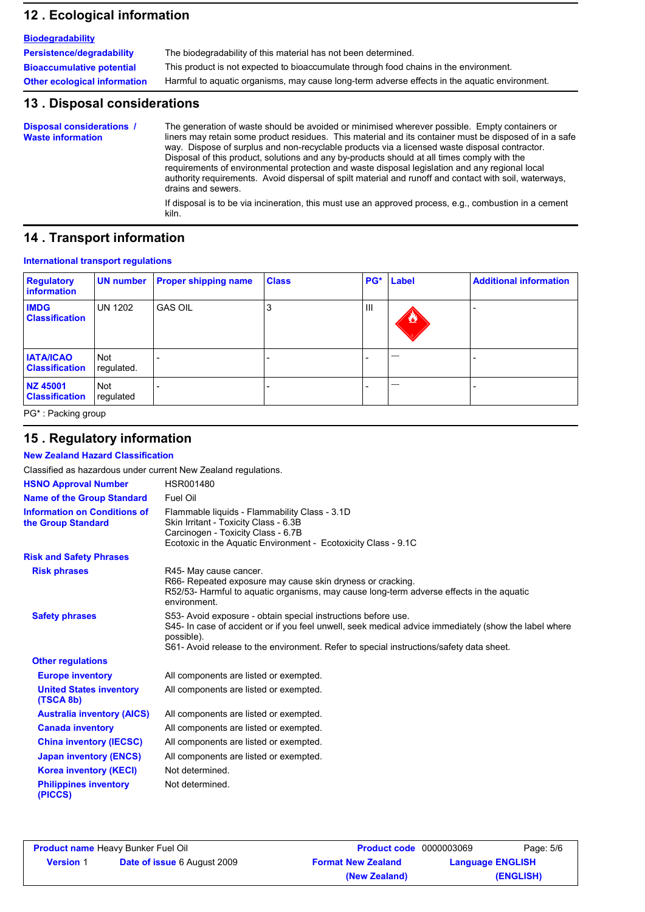## **12 . Ecological information**

| <b>Biodegradability</b>             |                                                                                               |
|-------------------------------------|-----------------------------------------------------------------------------------------------|
| Persistence/degradability           | The biodegradability of this material has not been determined.                                |
| <b>Bioaccumulative potential</b>    | This product is not expected to bioaccumulate through food chains in the environment.         |
| <b>Other ecological information</b> | Harmful to aquatic organisms, may cause long-term adverse effects in the aquatic environment. |

### **13 . Disposal considerations**

The generation of waste should be avoided or minimised wherever possible. Empty containers or liners may retain some product residues. This material and its container must be disposed of in a safe way. Dispose of surplus and non-recyclable products via a licensed waste disposal contractor. Disposal of this product, solutions and any by-products should at all times comply with the requirements of environmental protection and waste disposal legislation and any regional local authority requirements. Avoid dispersal of spilt material and runoff and contact with soil, waterways, drains and sewers. **Disposal considerations / Waste information**

If disposal is to be via incineration, this must use an approved process, e.g., combustion in a cement kiln.

### **14 . Transport information**

#### **International transport regulations**

| <b>Regulatory</b><br>information          | UN number                | <b>Proper shipping name</b> | <b>Class</b> |     | PG* Label         | <b>Additional information</b> |
|-------------------------------------------|--------------------------|-----------------------------|--------------|-----|-------------------|-------------------------------|
| <b>IMDG</b><br><b>Classification</b>      | <b>UN 1202</b>           | <b>GAS OIL</b>              | J.           | III | $\bf{z}$          |                               |
| <b>IATA/ICAO</b><br><b>Classification</b> | <b>Not</b><br>regulated. |                             |              |     | <b>STATISTICS</b> |                               |
| NZ 45001<br><b>Classification</b>         | Not<br>regulated         |                             |              |     | <b>STATISTICS</b> |                               |

PG\* : Packing group

## **15 . Regulatory information**

**New Zealand Hazard Classification**

| Classified as hazardous under current New Zealand regulations. |                                                                                                                                                                                                                                                                                 |
|----------------------------------------------------------------|---------------------------------------------------------------------------------------------------------------------------------------------------------------------------------------------------------------------------------------------------------------------------------|
| <b>HSNO Approval Number</b>                                    | HSR001480                                                                                                                                                                                                                                                                       |
| <b>Name of the Group Standard</b>                              | Fuel Oil                                                                                                                                                                                                                                                                        |
| <b>Information on Conditions of</b><br>the Group Standard      | Flammable liquids - Flammability Class - 3.1D<br>Skin Irritant - Toxicity Class - 6.3B<br>Carcinogen - Toxicity Class - 6.7B<br>Ecotoxic in the Aquatic Environment - Ecotoxicity Class - 9.1C                                                                                  |
| <b>Risk and Safety Phrases</b>                                 |                                                                                                                                                                                                                                                                                 |
| <b>Risk phrases</b>                                            | R45- May cause cancer.<br>R66- Repeated exposure may cause skin dryness or cracking.<br>R52/53- Harmful to aquatic organisms, may cause long-term adverse effects in the aquatic<br>environment.                                                                                |
| <b>Safety phrases</b>                                          | S53- Avoid exposure - obtain special instructions before use.<br>S45- In case of accident or if you feel unwell, seek medical advice immediately (show the label where<br>possible).<br>S61- Avoid release to the environment. Refer to special instructions/safety data sheet. |
| <b>Other regulations</b>                                       |                                                                                                                                                                                                                                                                                 |
| <b>Europe inventory</b>                                        | All components are listed or exempted.                                                                                                                                                                                                                                          |
| <b>United States inventory</b><br>(TSCA 8b)                    | All components are listed or exempted.                                                                                                                                                                                                                                          |
| <b>Australia inventory (AICS)</b>                              | All components are listed or exempted.                                                                                                                                                                                                                                          |
| <b>Canada inventory</b>                                        | All components are listed or exempted.                                                                                                                                                                                                                                          |
| <b>China inventory (IECSC)</b>                                 | All components are listed or exempted.                                                                                                                                                                                                                                          |
| <b>Japan inventory (ENCS)</b>                                  | All components are listed or exempted.                                                                                                                                                                                                                                          |
| <b>Korea inventory (KECI)</b>                                  | Not determined.                                                                                                                                                                                                                                                                 |
| <b>Philippines inventory</b><br>(PICCS)                        | Not determined.                                                                                                                                                                                                                                                                 |

| <b>Product name Heavy Bunker Fuel Oil</b> |                                    | <b>Product code</b> 0000003069 | Page: 5/6               |  |
|-------------------------------------------|------------------------------------|--------------------------------|-------------------------|--|
| <b>Version 1</b>                          | <b>Date of issue 6 August 2009</b> | <b>Format New Zealand</b>      | <b>Language ENGLISH</b> |  |
|                                           |                                    | (New Zealand)                  | (ENGLISH)               |  |